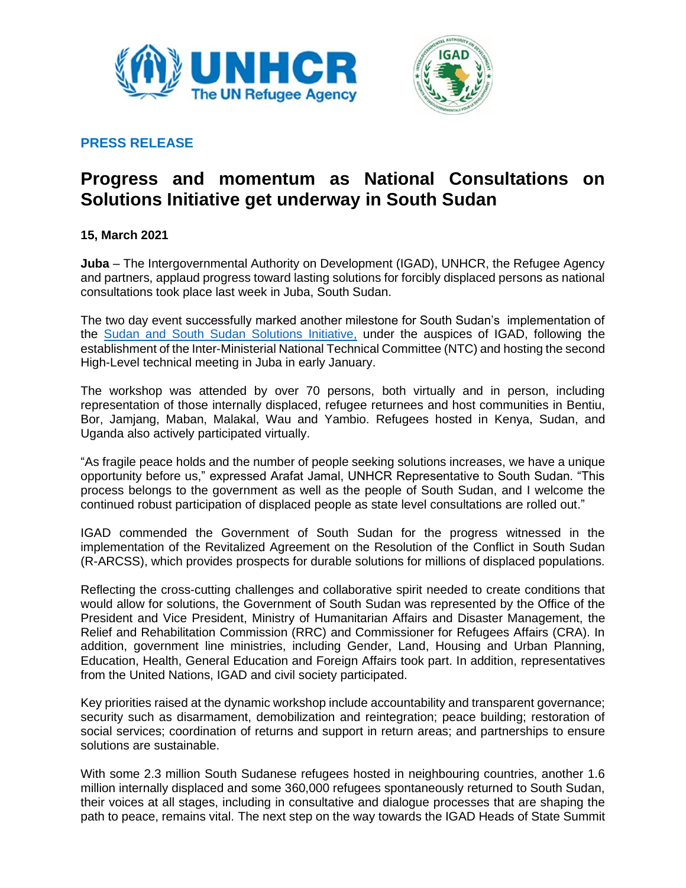



## **PRESS RELEASE**

## **Progress and momentum as National Consultations on Solutions Initiative get underway in South Sudan**

## **15, March 2021**

**Juba** – The Intergovernmental Authority on Development (IGAD), UNHCR, the Refugee Agency and partners, applaud progress toward lasting solutions for forcibly displaced persons as national consultations took place last week in Juba, South Sudan.

The two day event successfully marked another milestone for South Sudan's implementation of the [Sudan and South Sudan Solutions Initiative,](https://www.unhcr.org/afr/news/press/2020/12/5fca3c5a4/igad-unhcr-and-partners-welcome-first-meeting-of-sudan-and-south-sudan.html) under the auspices of IGAD, following the establishment of the Inter-Ministerial National Technical Committee (NTC) and hosting the second High-Level technical meeting in Juba in early January.

The workshop was attended by over 70 persons, both virtually and in person, including representation of those internally displaced, refugee returnees and host communities in Bentiu, Bor, Jamjang, Maban, Malakal, Wau and Yambio. Refugees hosted in Kenya, Sudan, and Uganda also actively participated virtually.

"As fragile peace holds and the number of people seeking solutions increases, we have a unique opportunity before us," expressed Arafat Jamal, UNHCR Representative to South Sudan. "This process belongs to the government as well as the people of South Sudan, and I welcome the continued robust participation of displaced people as state level consultations are rolled out."

IGAD commended the Government of South Sudan for the progress witnessed in the implementation of the Revitalized Agreement on the Resolution of the Conflict in South Sudan (R-ARCSS), which provides prospects for durable solutions for millions of displaced populations.

Reflecting the cross-cutting challenges and collaborative spirit needed to create conditions that would allow for solutions, the Government of South Sudan was represented by the Office of the President and Vice President, Ministry of Humanitarian Affairs and Disaster Management, the Relief and Rehabilitation Commission (RRC) and Commissioner for Refugees Affairs (CRA). In addition, government line ministries, including Gender, Land, Housing and Urban Planning, Education, Health, General Education and Foreign Affairs took part. In addition, representatives from the United Nations, IGAD and civil society participated.

Key priorities raised at the dynamic workshop include accountability and transparent governance; security such as disarmament, demobilization and reintegration; peace building; restoration of social services; coordination of returns and support in return areas; and partnerships to ensure solutions are sustainable.

With some 2.3 million South Sudanese refugees hosted in neighbouring countries, another 1.6 million internally displaced and some 360,000 refugees spontaneously returned to South Sudan, their voices at all stages, including in consultative and dialogue processes that are shaping the path to peace, remains vital. The next step on the way towards the IGAD Heads of State Summit